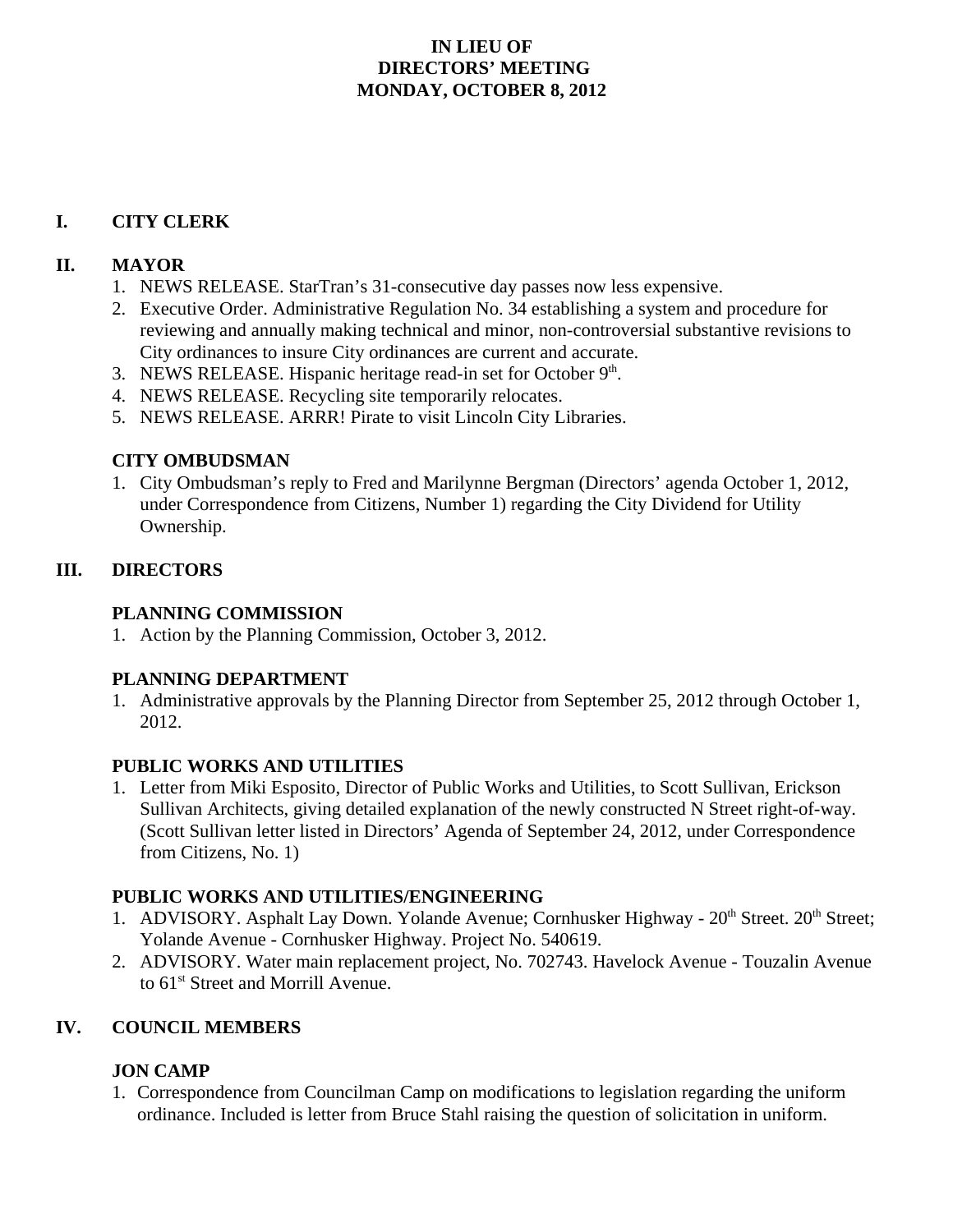## **IN LIEU OF DIRECTORS' MEETING MONDAY, OCTOBER 8, 2012**

## **I. CITY CLERK**

## **II. MAYOR**

- 1. NEWS RELEASE. StarTran's 31-consecutive day passes now less expensive.
- 2. Executive Order. Administrative Regulation No. 34 establishing a system and procedure for reviewing and annually making technical and minor, non-controversial substantive revisions to City ordinances to insure City ordinances are current and accurate.
- 3. NEWS RELEASE. Hispanic heritage read-in set for October 9<sup>th</sup>.
- 4. NEWS RELEASE. Recycling site temporarily relocates.
- 5. NEWS RELEASE. ARRR! Pirate to visit Lincoln City Libraries.

# **CITY OMBUDSMAN**

1. City Ombudsman's reply to Fred and Marilynne Bergman (Directors' agenda October 1, 2012, under Correspondence from Citizens, Number 1) regarding the City Dividend for Utility Ownership.

## **III. DIRECTORS**

## **PLANNING COMMISSION**

1. Action by the Planning Commission, October 3, 2012.

# **PLANNING DEPARTMENT**

1. Administrative approvals by the Planning Director from September 25, 2012 through October 1, 2012.

#### **PUBLIC WORKS AND UTILITIES**

1. Letter from Miki Esposito, Director of Public Works and Utilities, to Scott Sullivan, Erickson Sullivan Architects, giving detailed explanation of the newly constructed N Street right-of-way. (Scott Sullivan letter listed in Directors' Agenda of September 24, 2012, under Correspondence from Citizens, No. 1)

#### **PUBLIC WORKS AND UTILITIES/ENGINEERING**

- 1. ADVISORY. Asphalt Lay Down. Yolande Avenue; Cornhusker Highway  $20<sup>th</sup>$  Street.  $20<sup>th</sup>$  Street; Yolande Avenue - Cornhusker Highway. Project No. 540619.
- 2. ADVISORY. Water main replacement project, No. 702743. Havelock Avenue Touzalin Avenue to 61st Street and Morrill Avenue.

# **IV. COUNCIL MEMBERS**

# **JON CAMP**

1. Correspondence from Councilman Camp on modifications to legislation regarding the uniform ordinance. Included is letter from Bruce Stahl raising the question of solicitation in uniform.